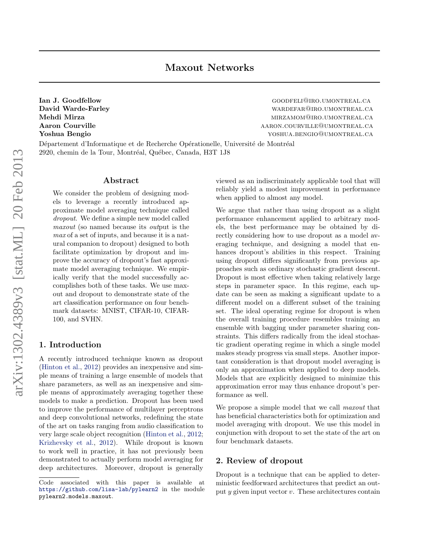Ian J. Goodfellow GOODFELI@IRO.UMONTREAL.CA David Warde-Farley entry and the control of the wardefare wardefare wardefare wardefactor wardefactor of the m Mehdi Mirza mirzamometra mirzamometra mirzamometra mirzamometra mirzamometra mirzamometra mirzamometra mirzamometra m Aaron Courville and a research and a research and a research and a research and a research and a research and  $\alpha$ Yoshua Bengio yoshua.bengio@umontreal.ca

Département d'Informatique et de Recherche Opérationelle, Université de Montréal 2920, chemin de la Tour, Montréal, Québec, Canada, H3T 1J8

### Abstract

We consider the problem of designing models to leverage a recently introduced approximate model averaging technique called dropout. We define a simple new model called maxout (so named because its output is the max of a set of inputs, and because it is a natural companion to dropout) designed to both facilitate optimization by dropout and improve the accuracy of dropout's fast approximate model averaging technique. We empirically verify that the model successfully accomplishes both of these tasks. We use maxout and dropout to demonstrate state of the art classification performance on four benchmark datasets: MNIST, CIFAR-10, CIFAR-100, and SVHN.

### 1. Introduction

A recently introduced technique known as dropout [\(Hinton et al.,](#page-8-0) [2012\)](#page-8-0) provides an inexpensive and simple means of training a large ensemble of models that share parameters, as well as an inexpensive and simple means of approximately averaging together these models to make a prediction. Dropout has been used to improve the performance of multilayer perceptrons and deep convolutional networks, redefining the state of the art on tasks ranging from audio classification to very large scale object recognition [\(Hinton et al.,](#page-8-0) [2012;](#page-8-0) [Krizhevsky et al.,](#page-8-0) [2012\)](#page-8-0). While dropout is known to work well in practice, it has not previously been demonstrated to actually perform model averaging for deep architectures. Moreover, dropout is generally viewed as an indiscriminately applicable tool that will reliably yield a modest improvement in performance when applied to almost any model.

We argue that rather than using dropout as a slight performance enhancement applied to arbitrary models, the best performance may be obtained by directly considering how to use dropout as a model averaging technique, and designing a model that enhances dropout's abilities in this respect. Training using dropout differs significantly from previous approaches such as ordinary stochastic gradient descent. Dropout is most effective when taking relatively large steps in parameter space. In this regime, each update can be seen as making a significant update to a different model on a different subset of the training set. The ideal operating regime for dropout is when the overall training procedure resembles training an ensemble with bagging under parameter sharing constraints. This differs radically from the ideal stochastic gradient operating regime in which a single model makes steady progress via small steps. Another important consideration is that dropout model averaging is only an approximation when applied to deep models. Models that are explicitly designed to minimize this approximation error may thus enhance dropout's performance as well.

We propose a simple model that we call *maxout* that has beneficial characteristics both for optimization and model averaging with dropout. We use this model in conjunction with dropout to set the state of the art on four benchmark datasets.

### 2. Review of dropout

Dropout is a technique that can be applied to deterministic feedforward architectures that predict an output  $y$  given input vector  $v$ . These architectures contain

Code associated with this paper is available at <https://github.com/lisa-lab/pylearn2> in the module pylearn2.models.maxout.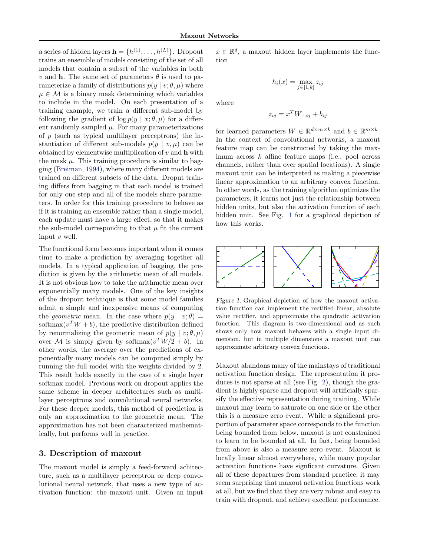where

a series of hidden layers  $\mathbf{h} = \{h^{(1)}, \ldots, h^{(L)}\}$ . Dropout trains an ensemble of models consisting of the set of all models that contain a subset of the variables in both v and **h**. The same set of parameters  $\theta$  is used to parameterize a family of distributions  $p(y | v; \theta, \mu)$  where  $\mu \in \mathcal{M}$  is a binary mask determining which variables to include in the model. On each presentation of a training example, we train a different sub-model by following the gradient of  $\log p(y \mid x; \theta, \mu)$  for a different randomly sampled  $\mu$ . For many parameterizations of  $p$  (such as typical multilayer perceptrons) the instantiation of different sub-models  $p(y | v, \mu)$  can be obtained by elementwise multiplication of  $v$  and  $h$  with the mask  $\mu$ . This training procedure is similar to bagging [\(Breiman,](#page-8-0) [1994\)](#page-8-0), where many different models are trained on different subsets of the data. Droput training differs from bagging in that each model is trained for only one step and all of the models share parameters. In order for this training procedure to behave as if it is training an ensemble rather than a single model, each update must have a large effect, so that it makes the sub-model corresponding to that  $\mu$  fit the current input v well.

The functional form becomes important when it comes time to make a prediction by averaging together all models. In a typical application of bagging, the prediction is given by the arithmetic mean of all models. It is not obvious how to take the arithmetic mean over exponentially many models. One of the key insights of the dropout technique is that some model families admit a simple and inexpensive means of computing the *geometric* mean. In the case where  $p(y | v; \theta)$  = softmax $(v^T W + b)$ , the predictive distribution defined by renormalizing the geometric mean of  $p(y | v; \theta, \mu)$ over M is simply given by softmax $(v^T W/2 + b)$ . In other words, the average over the predictions of exponentially many models can be computed simply by running the full model with the weights divided by 2. This result holds exactly in the case of a single layer softmax model. Previous work on dropout applies the same scheme in deeper architectures such as multilayer perceptrons and convolutional neural networks. For these deeper models, this method of prediction is only an approximation to the geometric mean. The approximation has not been characterized mathematically, but performs well in practice.

# 3. Description of maxout

The maxout model is simply a feed-forward achitecture, such as a multilayer perceptron or deep convolutional neural network, that uses a new type of activation function: the maxout unit. Given an input

 $x \in \mathbb{R}^d$ , a maxout hidden layer implements the function

 $h_i(x) = \max_{j \in [1,k]} z_{ij}$ 

$$
f_{\rm{max}}
$$

$$
z_{ij} = x^T W \dots_{ij} + b_{ij}
$$

for learned parameters  $W \in \mathbb{R}^{d \times m \times k}$  and  $b \in \mathbb{R}^{m \times k}$ . In the context of convolutional networks, a maxout feature map can be constructed by taking the maximum across k affine feature maps (i.e., pool across channels, rather than over spatial locations). A single maxout unit can be interpreted as making a piecewise linear approximation to an arbitrary convex function. In other words, as the training algorithm optimizes the parameters, it learns not just the relationship between hidden units, but also the activation function of each hidden unit. See Fig. 1 for a graphical depiction of how this works.



Figure 1. Graphical depiction of how the maxout activation function can implement the rectified linear, absolute value rectifier, and approximate the quadratic activation function. This diagram is two-dimensional and as such shows only how maxout behaves with a single input dimension, but in multiple dimensions a maxout unit can approximate arbitrary convex functions.

Maxout abandons many of the mainstays of traditional activation function design. The representation it produces is not sparse at all (see Fig. [2\)](#page-2-0), though the gradient is highly sparse and dropout will artificially sparsify the effective representation during training. While maxout may learn to saturate on one side or the other this is a measure zero event. While a significant proportion of parameter space corresponds to the function being bounded from below, maxout is not constrained to learn to be bounded at all. In fact, being bounded from above is also a measure zero event. Maxout is locally linear almost everywhere, while many popular activation functions have signficant curvature. Given all of these departures from standard practice, it may seem surprising that maxout activation functions work at all, but we find that they are very robust and easy to train with dropout, and achieve excellent performance.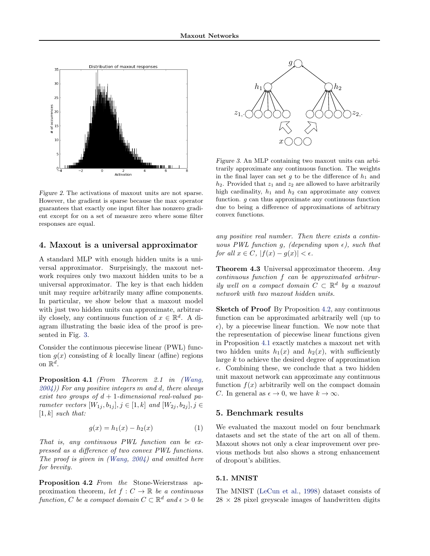<span id="page-2-0"></span>

Figure 2. The activations of maxout units are not sparse. However, the gradient is sparse because the max operator guarantees that exactly one input filter has nonzero gradient except for on a set of measure zero where some filter responses are equal.

## 4. Maxout is a universal approximator

A standard MLP with enough hidden units is a universal approximator. Surprisingly, the maxout network requires only two maxout hidden units to be a universal approximator. The key is that each hidden unit may require arbitrarily many affine components. In particular, we show below that a maxout model with just two hidden units can approximate, arbitrarily closely, any continuous function of  $x \in \mathbb{R}^d$ . A diagram illustrating the basic idea of the proof is presented in Fig. 3.

Consider the continuous piecewise linear (PWL) function  $g(x)$  consisting of k locally linear (affine) regions on  $\mathbb{R}^d$ .

Proposition 4.1 (From Theorem 2.1 in [\(Wang,](#page-9-0)  $(2004)$  $(2004)$ ) For any positive integers m and d, there always exist two groups of  $d+1$ -dimensional real-valued parameter vectors  $[W_{1j}, b_{1j}], j \in [1, k]$  and  $[W_{2j}, b_{2j}], j \in$  $[1, k]$  such that:

$$
g(x) = h_1(x) - h_2(x)
$$
 (1)

That is, any continuous PWL function can be expressed as a difference of two convex PWL functions. The proof is given in [\(Wang,](#page-9-0) [2004\)](#page-9-0) and omitted here for brevity.

Proposition 4.2 From the Stone-Weierstrass approximation theorem, let  $f: C \to \mathbb{R}$  be a continuous function, C be a compact domain  $C \subset \mathbb{R}^d$  and  $\epsilon > 0$  be



Figure 3. An MLP containing two maxout units can arbitrarily approximate any continuous function. The weights in the final layer can set g to be the difference of  $h_1$  and  $h_2$ . Provided that  $z_1$  and  $z_2$  are allowed to have arbitrarily high cardinality,  $h_1$  and  $h_2$  can approximate any convex function. g can thus approximate any continuous function due to being a difference of approximations of arbitrary convex functions.

any positive real number. Then there exists a continuous PWL function g, (depending upon  $\epsilon$ ), such that for all  $x \in C$ ,  $|f(x) - g(x)| < \epsilon$ .

**Theorem 4.3** Universal approximator theorem. Any continuous function f can be approximated arbitrarily well on a compact domain  $C \subset \mathbb{R}^d$  by a maxout network with two maxout hidden units.

Sketch of Proof By Proposition 4.2, any continuous function can be approximated arbitrarily well (up to  $\epsilon$ ), by a piecewise linear function. We now note that the representation of piecewise linear functions given in Proposition 4.1 exactly matches a maxout net with two hidden units  $h_1(x)$  and  $h_2(x)$ , with sufficiently large k to achieve the desired degree of approximation  $\epsilon$ . Combining these, we conclude that a two hidden unit maxout network can approximate any continuous function  $f(x)$  arbitrarily well on the compact domain C. In general as  $\epsilon \to 0$ , we have  $k \to \infty$ .

## 5. Benchmark results

We evaluated the maxout model on four benchmark datasets and set the state of the art on all of them. Maxout shows not only a clear improvement over previous methods but also shows a strong enhancement of dropout's abilities.

#### 5.1. MNIST

The MNIST [\(LeCun et al.,](#page-8-0) [1998\)](#page-8-0) dataset consists of  $28 \times 28$  pixel greyscale images of handwritten digits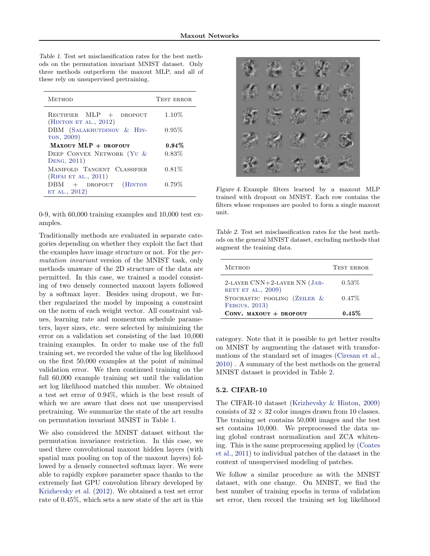Table 1. Test set misclassification rates for the best methods on the permutation invariant MNIST dataset. Only three methods outperform the maxout MLP, and all of these rely on unsupervised pretraining.

| <b>METHOD</b>                                         | <b>TEST ERROR</b> |
|-------------------------------------------------------|-------------------|
| RECTIFIER $MLP + DROPOUT$<br>(HINTON ET AL., $2012$ ) | $1.10\%$          |
| DBM (SALAKHUTDINOV & HIN-<br>TON, 2009)               | $0.95\%$          |
| MAXOUT MLP + DROPOUT                                  | $0.94\%$          |
| DEEP CONVEX NETWORK (YU &<br>DENG, 2011)              | $0.83\%$          |
| MANIFOLD TANGENT CLASSIFIER<br>(RIFAI ET AL., 2011)   | $0.81\%$          |
| $DBM + DROPOUT$<br>(HINTON<br>ET AL., 2012)           | $0.79\%$          |

0-9, with 60,000 training examples and 10,000 test examples.

Traditionally methods are evaluated in separate categories depending on whether they exploit the fact that the examples have image structure or not. For the permutation invariant version of the MNIST task, only methods unaware of the 2D structure of the data are permitted. In this case, we trained a model consisting of two densely connected maxout layers followed by a softmax layer. Besides using dropout, we further regularized the model by imposing a constraint on the norm of each weight vector. All constraint values, learning rate and momentum schedule parameters, layer sizes, etc. were selected by minimizing the error on a validation set consisting of the last 10,000 training examples. In order to make use of the full training set, we recorded the value of the log likelihood on the first 50,000 examples at the point of minimal validation error. We then continued training on the full 60,000 example training set until the validation set log likelihood matched this number. We obtained a test set error of 0.94%, which is the best result of which we are aware that does not use unsupervised pretraining. We summarize the state of the art results on permutation invariant MNIST in Table 1.

We also considered the MNIST dataset without the permutation invariance restriction. In this case, we used three convolutional maxout hidden layers (with spatial max pooling on top of the maxout layers) followed by a densely connected softmax layer. We were able to rapidly explore parameter space thanks to the extremely fast GPU convolution library developed by [Krizhevsky et al.](#page-8-0) [\(2012\)](#page-8-0). We obtained a test set error rate of 0.45%, which sets a new state of the art in this



Figure 4. Example filters learned by a maxout MLP trained with dropout on MNIST. Each row contains the filters whose responses are pooled to form a single maxout unit.

Table 2. Test set misclassification rates for the best methods on the general MNIST dataset, excluding methods that augment the training data.

| <b>METHOD</b>                                        | <b>TEST ERROR</b> |
|------------------------------------------------------|-------------------|
| 2-LAYER CNN+2-LAYER NN (JAR-<br>RETT ET AL., 2009)   | $0.53\%$          |
| STOCHASTIC POOLING (ZEILER &<br><b>FERGUS, 2013)</b> | $0.47\%$          |
| CONV. MAXOUT $+$ DROPOUT                             | $0.45\%$          |

category. Note that it is possible to get better results on MNIST by augmenting the dataset with transformations of the standard set of images [\(Ciresan et al.,](#page-8-0) [2010\)](#page-8-0) . A summary of the best methods on the general MNIST dataset is provided in Table 2.

### 5.2. CIFAR-10

The CIFAR-10 dataset [\(Krizhevsky & Hinton,](#page-8-0) [2009\)](#page-8-0) consists of  $32 \times 32$  color images drawn from 10 classes. The training set contains 50,000 images and the test set contains 10,000. We preprocessed the data using global contrast normalization and ZCA whitening. This is the same preprocessing applied by [\(Coates](#page-8-0) [et al.,](#page-8-0) [2011\)](#page-8-0) to individual patches of the dataset in the context of unsupervised modeling of patches.

We follow a similar procedure as with the MNIST dataset, with one change. On MNIST, we find the best number of training epochs in terms of validation set error, then record the training set log likelihood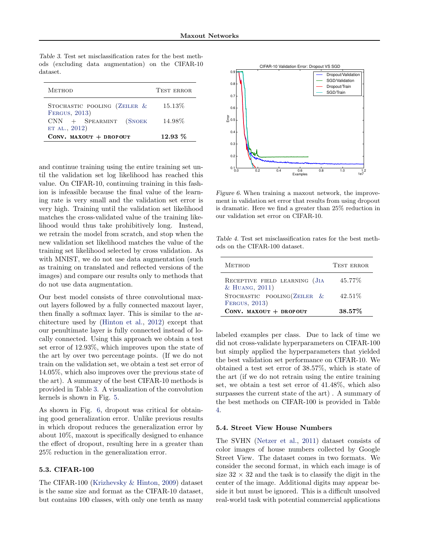Table 3. Test set misclassification rates for the best methods (excluding data augmentation) on the CIFAR-10 dataset.

| <b>METHOD</b>                                 | <b>TEST ERROR</b> |
|-----------------------------------------------|-------------------|
| STOCHASTIC POOLING (ZEILER &<br>FERGUS, 2013) | 15.13\%           |
| $CNN + SPEARMINT$ (SNOEK)<br>ET AL., 2012)    | 14.98%            |
| CONV. MAXOUT + DROPOUT                        | $12.93\%$         |

and continue training using the entire training set until the validation set log likelihood has reached this value. On CIFAR-10, continuing training in this fashion is infeasible because the final value of the learning rate is very small and the validation set error is very high. Training until the validation set likelihood matches the cross-validated value of the training likelihood would thus take prohibitively long. Instead, we retrain the model from scratch, and stop when the new validation set likelihood matches the value of the training set likelihood selected by cross validation. As with MNIST, we do not use data augmentation (such as training on translated and reflected versions of the images) and compare our results only to methods that do not use data augmentation.

Our best model consists of three convolutional maxout layers followed by a fully connected maxout layer, then finally a softmax layer. This is similar to the architecture used by [\(Hinton et al.,](#page-8-0) [2012\)](#page-8-0) except that our penultimate layer is fully connected instead of locally connected. Using this approach we obtain a test set error of 12.93%, which improves upon the state of the art by over two percentage points. (If we do not train on the validation set, we obtain a test set error of 14.05%, which also improves over the previous state of the art). A summary of the best CIFAR-10 methods is provided in Table 3. A visualization of the convolution kernels is shown in Fig. [5.](#page-5-0)

As shown in Fig. 6, dropout was critical for obtaining good generalization error. Unlike previous results in which dropout reduces the generalization error by about 10%, maxout is specifically designed to enhance the effect of dropout, resulting here in a greater than 25% reduction in the generalization error.

### 5.3. CIFAR-100

The CIFAR-100 [\(Krizhevsky & Hinton,](#page-8-0) [2009\)](#page-8-0) dataset is the same size and format as the CIFAR-10 dataset, but contains 100 classes, with only one tenth as many



Figure 6. When training a maxout network, the improvement in validation set error that results from using dropout is dramatic. Here we find a greater than 25% reduction in our validation set error on CIFAR-10.

Table 4. Test set misclassification rates for the best methods on the CIFAR-100 dataset.

| <b>METHOD</b>                                   | <b>TEST ERROR</b> |
|-------------------------------------------------|-------------------|
| RECEPTIVE FIELD LEARNING (JIA<br>& HUANG, 2011) | 45.77%            |
| STOCHASTIC POOLING (ZEILER $&$<br>FERGUS, 2013) | 42.51\%           |
| CONV. MAXOUT $+$ DROPOUT                        | $38.57\%$         |

labeled examples per class. Due to lack of time we did not cross-validate hyperparameters on CIFAR-100 but simply applied the hyperparameters that yielded the best validation set performance on CIFAR-10. We obtained a test set error of 38.57%, which is state of the art (if we do not retrain using the entire training set, we obtain a test set error of 41.48%, which also surpasses the current state of the art) . A summary of the best methods on CIFAR-100 is provided in Table 4.

#### 5.4. Street View House Numbers

The SVHN [\(Netzer et al.,](#page-8-0) [2011\)](#page-8-0) dataset consists of color images of house numbers collected by Google Street View. The dataset comes in two formats. We consider the second format, in which each image is of size  $32 \times 32$  and the task is to classify the digit in the center of the image. Additional digits may appear beside it but must be ignored. This is a difficult unsolved real-world task with potential commercial applications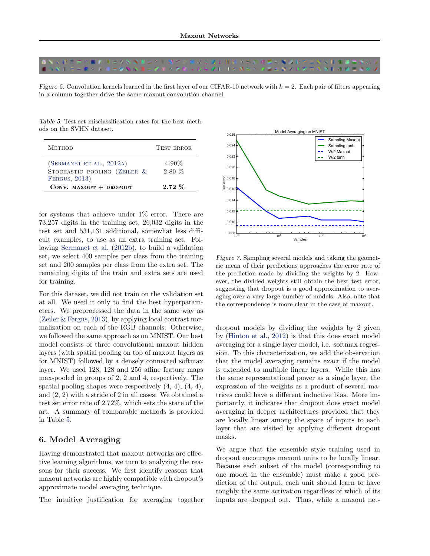<span id="page-5-0"></span>

Figure 5. Convolution kernels learned in the first layer of our CIFAR-10 network with  $k = 2$ . Each pair of filters appearing in a column together drive the same maxout convolution channel.

Table 5. Test set misclassification rates for the best methods on the SVHN dataset.

| <b>METHOD</b>                                                             | <b>TEST ERROR</b>    |
|---------------------------------------------------------------------------|----------------------|
| (SERMANET ET AL., 2012A)<br>STOCHASTIC POOLING (ZEILER &<br>FERGUS, 2013) | $4.90\%$<br>$2.80\%$ |
| CONV. MAXOUT $+$ DROPOUT                                                  | $2.72\%$             |

for systems that achieve under  $1\%$  error. There are 73,257 digits in the training set, 26,032 digits in the test set and 531,131 additional, somewhat less difficult examples, to use as an extra training set. Following [Sermanet et al.](#page-8-0) [\(2012b\)](#page-8-0), to build a validation set, we select 400 samples per class from the training set and 200 samples per class from the extra set. The remaining digits of the train and extra sets are used for training.

For this dataset, we did not train on the validation set at all. We used it only to find the best hyperparameters. We preprocessed the data in the same way as [\(Zeiler & Fergus,](#page-9-0) [2013\)](#page-9-0), by applying local contrast normalization on each of the RGB channels. Otherwise, we followed the same approach as on MNIST. Our best model consists of three convolutional maxout hidden layers (with spatial pooling on top of maxout layers as for MNIST) followed by a densely connected softmax layer. We used 128, 128 and 256 affine feature maps max-pooled in groups of 2, 2 and 4, respectively. The spatial pooling shapes were respectively  $(4, 4)$ ,  $(4, 4)$ , and (2, 2) with a stride of 2 in all cases. We obtained a test set error rate of 2.72%, which sets the state of the art. A summary of comparable methods is provided in Table 5.

# 6. Model Averaging

Having demonstrated that maxout networks are effective learning algorithms, we turn to analyzing the reasons for their success. We first identify reasons that maxout networks are highly compatible with dropout's approximate model averaging technique.

The intuitive justification for averaging together



Figure 7. Sampling several models and taking the geometric mean of their predictions approaches the error rate of the prediction made by dividing the weights by 2. However, the divided weights still obtain the best test error, suggesting that dropout is a good approximation to averaging over a very large number of models. Also, note that the correspondence is more clear in the case of maxout.

dropout models by dividing the weights by 2 given by [\(Hinton et al.,](#page-8-0) [2012\)](#page-8-0) is that this does exact model averaging for a single layer model, i.e. softmax regression. To this characterization, we add the observation that the model averaging remains exact if the model is extended to multiple linear layers. While this has the same representational power as a single layer, the expression of the weights as a product of several matrices could have a different inductive bias. More importantly, it indicates that dropout does exact model averaging in deeper architectures provided that they are locally linear among the space of inputs to each layer that are visited by applying different dropout masks.

We argue that the ensemble style training used in dropout encourages maxout units to be locally linear. Because each subset of the model (corresponding to one model in the ensemble) must make a good prediction of the output, each unit should learn to have roughly the same activation regardless of which of its inputs are dropped out. Thus, while a maxout net-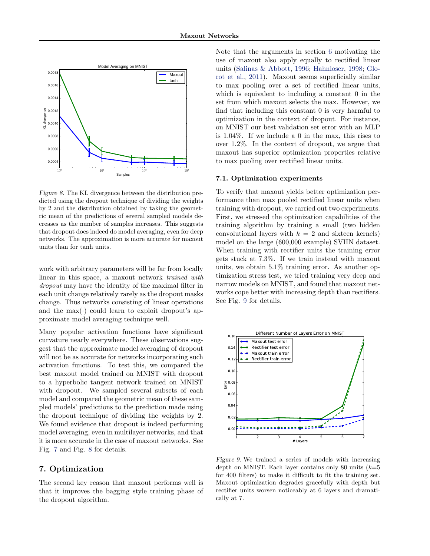

Figure 8. The KL divergence between the distribution predicted using the dropout technique of dividing the weights by 2 and the distribution obtained by taking the geometric mean of the predictions of several sampled models decreases as the number of samples increases. This suggests that dropout does indeed do model averaging, even for deep networks. The approximation is more accurate for maxout units than for tanh units.

work with arbitrary parameters will be far from locally linear in this space, a maxout network trained with dropout may have the identity of the maximal filter in each unit change relatively rarely as the dropout masks change. Thus networks consisting of linear operations and the max( $\cdot$ ) could learn to exploit dropout's approximate model averaging technique well.

Many popular activation functions have significant curvature nearly everywhere. These observations suggest that the approximate model averaging of dropout will not be as accurate for networks incorporating such activation functions. To test this, we compared the best maxout model trained on MNIST with dropout to a hyperbolic tangent network trained on MNIST with dropout. We sampled several subsets of each model and compared the geometric mean of these sampled models' predictions to the prediction made using the dropout technique of dividing the weights by 2. We found evidence that dropout is indeed performing model averaging, even in multilayer networks, and that it is more accurate in the case of maxout networks. See Fig. [7](#page-5-0) and Fig. 8 for details.

# 7. Optimization

The second key reason that maxout performs well is that it improves the bagging style training phase of the dropout algorithm.

Note that the arguments in section [6](#page-5-0) motivating the use of maxout also apply equally to rectified linear units [\(Salinas & Abbott,](#page-8-0) [1996;](#page-8-0) [Hahnloser,](#page-8-0) [1998;](#page-8-0) [Glo](#page-8-0)[rot et al.,](#page-8-0) [2011\)](#page-8-0). Maxout seems superficially similar to max pooling over a set of rectified linear units, which is equivalent to including a constant 0 in the set from which maxout selects the max. However, we find that including this constant 0 is very harmful to optimization in the context of dropout. For instance, on MNIST our best validation set error with an MLP is 1.04%. If we include a 0 in the max, this rises to over 1.2%. In the context of dropout, we argue that maxout has superior optimization properties relative to max pooling over rectified linear units.

#### 7.1. Optimization experiments

To verify that maxout yields better optimization performance than max pooled rectified linear units when training with dropout, we carried out two experiments. First, we stressed the optimization capabilities of the training algorithm by training a small (two hidden convolutional layers with  $k = 2$  and sixteen kernels) model on the large (600,000 example) SVHN dataset. When training with rectifier units the training error gets stuck at 7.3%. If we train instead with maxout units, we obtain 5.1% training error. As another optimization stress test, we tried training very deep and narrow models on MNIST, and found that maxout networks cope better with increasing depth than rectifiers. See Fig. 9 for details.



Figure 9. We trained a series of models with increasing depth on MNIST. Each layer contains only 80 units  $(k=5)$ for 400 filters) to make it difficult to fit the training set. Maxout optimization degrades gracefully with depth but rectifier units worsen noticeably at 6 layers and dramatically at 7.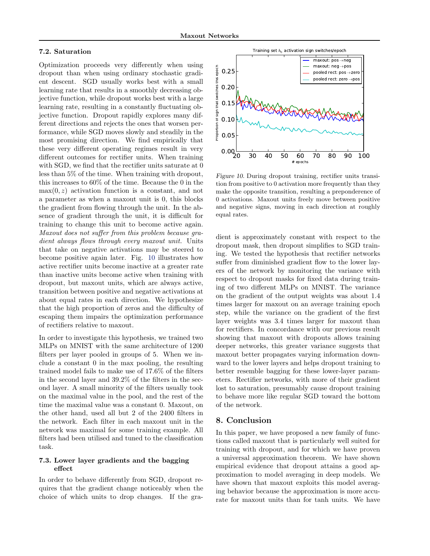### 7.2. Saturation

Optimization proceeds very differently when using dropout than when using ordinary stochastic gradient descent. SGD usually works best with a small learning rate that results in a smoothly decreasing objective function, while dropout works best with a large learning rate, resulting in a constantly fluctuating objective function. Dropout rapidly explores many different directions and rejects the ones that worsen performance, while SGD moves slowly and steadily in the most promising direction. We find empirically that these very different operating regimes result in very different outcomes for rectifier units. When training with SGD, we find that the rectifier units saturate at 0 less than 5% of the time. When training with dropout, this increases to 60% of the time. Because the 0 in the  $max(0, z)$  activation function is a constant, and not a parameter as when a maxout unit is 0, this blocks the gradient from flowing through the unit. In the absence of gradient through the unit, it is difficult for training to change this unit to become active again. Maxout does not suffer from this problem because gradient always flows through every maxout unit. Units that take on negative activations may be steered to become positive again later. Fig. 10 illustrates how active rectifier units become inactive at a greater rate than inactive units become active when training with dropout, but maxout units, which are always active, transition between positive and negative activations at about equal rates in each direction. We hypothesize that the high proportion of zeros and the difficulty of escaping them impairs the optimization performance of rectifiers relative to maxout.

In order to investigate this hypothesis, we trained two MLPs on MNIST with the same architecture of 1200 filters per layer pooled in groups of 5. When we include a constant 0 in the max pooling, the resulting trained model fails to make use of 17.6% of the filters in the second layer and 39.2% of the filters in the second layer. A small minority of the filters usually took on the maximal value in the pool, and the rest of the time the maximal value was a constant 0. Maxout, on the other hand, used all but 2 of the 2400 filters in the network. Each filter in each maxout unit in the network was maximal for some training example. All filters had been utilised and tuned to the classification task.

## 7.3. Lower layer gradients and the bagging effect

In order to behave differently from SGD, dropout requires that the gradient change noticeably when the choice of which units to drop changes. If the gra-



Figure 10. During dropout training, rectifier units transition from positive to 0 activation more frequently than they make the opposite transition, resulting a preponderence of 0 activations. Maxout units freely move between positive and negative signs, moving in each direction at roughly equal rates.

dient is approximately constant with respect to the dropout mask, then dropout simplifies to SGD training. We tested the hypothesis that rectifier networks suffer from diminished gradient flow to the lower layers of the network by monitoring the variance with respect to dropout masks for fixed data during training of two different MLPs on MNIST. The variance on the gradient of the output weights was about 1.4 times larger for maxout on an average training epoch step, while the variance on the gradient of the first layer weights was 3.4 times larger for maxout than for rectifiers. In concordance with our previous result showing that maxout with dropouts allows training deeper networks, this greater variance suggests that maxout better propagates varying information downward to the lower layers and helps dropout training to better resemble bagging for these lower-layer parameters. Rectifier networks, with more of their gradient lost to saturation, presumably cause dropout training to behave more like regular SGD toward the bottom of the network.

# 8. Conclusion

In this paper, we have proposed a new family of functions called maxout that is particularly well suited for training with dropout, and for which we have proven a universal approximation theorem. We have shown empirical evidence that dropout attains a good approximation to model averaging in deep models. We have shown that maxout exploits this model averaging behavior because the approximation is more accurate for maxout units than for tanh units. We have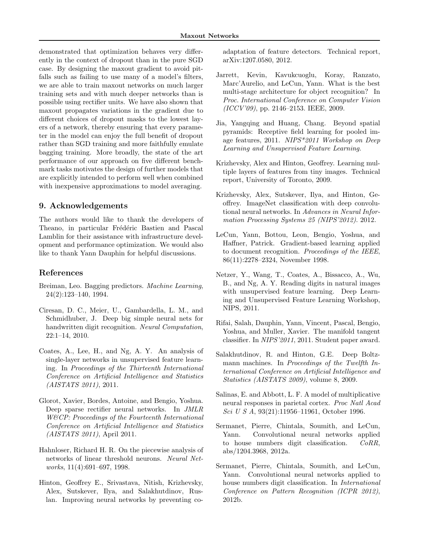<span id="page-8-0"></span>demonstrated that optimization behaves very differently in the context of dropout than in the pure SGD case. By designing the maxout gradient to avoid pitfalls such as failing to use many of a model's filters, we are able to train maxout networks on much larger training sets and with much deeper networks than is possible using rectifier units. We have also shown that maxout propagates variations in the gradient due to different choices of dropout masks to the lowest layers of a network, thereby ensuring that every parameter in the model can enjoy the full benefit of dropout rather than SGD training and more faithfully emulate bagging training. More broadly, the state of the art performance of our approach on five different benchmark tasks motivates the design of further models that are explicitly intended to perform well when combined with inexpensive approximations to model averaging.

# 9. Acknowledgements

The authors would like to thank the developers of Theano, in particular Frédéric Bastien and Pascal Lamblin for their assistance with infrastructure development and performance optimization. We would also like to thank Yann Dauphin for helpful discussions.

# References

- Breiman, Leo. Bagging predictors. Machine Learning, 24(2):123–140, 1994.
- Ciresan, D. C., Meier, U., Gambardella, L. M., and Schmidhuber, J. Deep big simple neural nets for handwritten digit recognition. Neural Computation, 22:1–14, 2010.
- Coates, A., Lee, H., and Ng, A. Y. An analysis of single-layer networks in unsupervised feature learning. In Proceedings of the Thirteenth International Conference on Artificial Intelligence and Statistics (AISTATS 2011), 2011.
- Glorot, Xavier, Bordes, Antoine, and Bengio, Yoshua. Deep sparse rectifier neural networks. In JMLR W&CP: Proceedings of the Fourteenth International Conference on Artificial Intelligence and Statistics (AISTATS 2011), April 2011.
- Hahnloser, Richard H. R. On the piecewise analysis of networks of linear threshold neurons. Neural Networks, 11(4):691–697, 1998.
- Hinton, Geoffrey E., Srivastava, Nitish, Krizhevsky, Alex, Sutskever, Ilya, and Salakhutdinov, Ruslan. Improving neural networks by preventing co-

adaptation of feature detectors. Technical report, arXiv:1207.0580, 2012.

- Jarrett, Kevin, Kavukcuoglu, Koray, Ranzato, Marc'Aurelio, and LeCun, Yann. What is the best multi-stage architecture for object recognition? In Proc. International Conference on Computer Vision  $(ICCV'09)$ , pp. 2146-2153. IEEE, 2009.
- Jia, Yangqing and Huang, Chang. Beyond spatial pyramids: Receptive field learning for pooled image features, 2011. NIPS\*2011 Workshop on Deep Learning and Unsupervised Feature Learning.
- Krizhevsky, Alex and Hinton, Geoffrey. Learning multiple layers of features from tiny images. Technical report, University of Toronto, 2009.
- Krizhevsky, Alex, Sutskever, Ilya, and Hinton, Geoffrey. ImageNet classification with deep convolutional neural networks. In Advances in Neural Information Processing Systems 25 (NIPS'2012). 2012.
- LeCun, Yann, Bottou, Leon, Bengio, Yoshua, and Haffner, Patrick. Gradient-based learning applied to document recognition. Proceedings of the IEEE, 86(11):2278–2324, November 1998.
- Netzer, Y., Wang, T., Coates, A., Bissacco, A., Wu, B., and Ng, A. Y. Reading digits in natural images with unsupervised feature learning. Deep Learning and Unsupervised Feature Learning Workshop, NIPS, 2011.
- Rifai, Salah, Dauphin, Yann, Vincent, Pascal, Bengio, Yoshua, and Muller, Xavier. The manifold tangent classifier. In NIPS'2011, 2011. Student paper award.
- Salakhutdinov, R. and Hinton, G.E. Deep Boltzmann machines. In Proceedings of the Twelfth International Conference on Artificial Intelligence and Statistics (AISTATS 2009), volume 8, 2009.
- Salinas, E. and Abbott, L. F. A model of multiplicative neural responses in parietal cortex. Proc Natl Acad Sci U S A, 93(21):11956–11961, October 1996.
- Sermanet, Pierre, Chintala, Soumith, and LeCun, Yann. Convolutional neural networks applied to house numbers digit classification. CoRR, abs/1204.3968, 2012a.
- Sermanet, Pierre, Chintala, Soumith, and LeCun, Yann. Convolutional neural networks applied to house numbers digit classification. In International Conference on Pattern Recognition (ICPR 2012), 2012b.